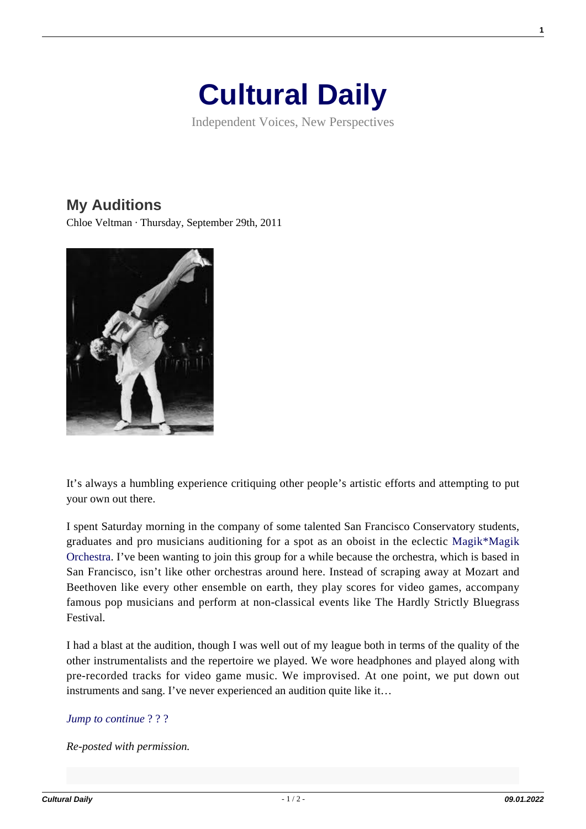## **[Cultural Daily](https://culturaldaily.com/)**

Independent Voices, New Perspectives

## **[My Auditions](https://culturaldaily.com/my-auditions/)**

Chloe Veltman · Thursday, September 29th, 2011



It's always a humbling experience critiquing other people's artistic efforts and attempting to put your own out there.

I spent Saturday morning in the company of some talented San Francisco Conservatory students, graduates and pro musicians auditioning for a spot as an oboist in the eclectic [Magik\\*Magik](http://www.magikmagik.com/) [Orchestra.](http://www.magikmagik.com/) I've been wanting to join this group for a while because the orchestra, which is based in San Francisco, isn't like other orchestras around here. Instead of scraping away at Mozart and Beethoven like every other ensemble on earth, they play scores for video games, accompany famous pop musicians and perform at non-classical events like The Hardly Strictly Bluegrass Festival.

I had a blast at the audition, though I was well out of my league both in terms of the quality of the other instrumentalists and the repertoire we played. We wore headphones and played along with pre-recorded tracks for video game music. We improvised. At one point, we put down out instruments and sang. I've never experienced an audition quite like it…

## *[Jump to continue](http://blog.chloeveltman.com/2011/09/two-auditions-and-tip-about-swing.html#links)* [? ? ?](http://blog.chloeveltman.com/2011/09/two-auditions-and-tip-about-swing.html#links)

*Re-posted with permission.*